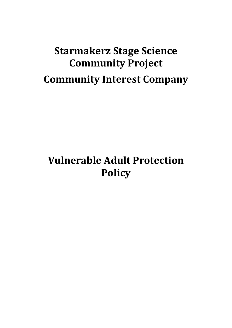# **Starmakerz Stage Science Community Project Community Interest Company**

# **Vulnerable Adult Protection Policy**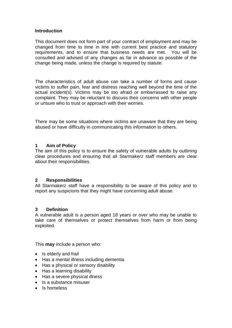#### **Introduction**

This document does not form part of your contract of employment and may be changed from time to time in line with current best practice and statutory requirements, and to ensure that business needs are met. You will be consulted and advised of any changes as far in advance as possible of the change being made, unless the change is required by statute.

The characteristics of adult abuse can take a number of forms and cause victims to suffer pain, fear and distress reaching well beyond the time of the actual incident(s). Victims may be too afraid or embarrassed to raise any complaint. They may be reluctant to discuss their concerns with other people or unsure who to trust or approach with their worries.

There may be some situations where victims are unaware that they are being abused or have difficulty in communicating this information to others.

#### **1 Aim of Policy**

The aim of this policy is to ensure the safety of vulnerable adults by outlining clear procedures and ensuring that all Starmakerz staff members are clear about their responsibilities.

#### **2 Responsibilities**

All Starmakerz staff have a responsibility to be aware of this policy and to report any suspicions that they might have concerning adult abuse.

#### **3 Definition**

A vulnerable adult is a person aged 18 years or over who may be unable to take care of themselves or protect themselves from harm or from being exploited.

This **may** include a person who:

- Is elderly and frail
- Has a mental illness including dementia
- Has a physical or sensory disability
- Has a learning disability
- Has a severe physical illness
- Is a substance misuser
- Is homeless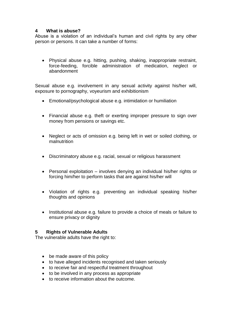#### **4 What is abuse?**

Abuse is a violation of an individual's human and civil rights by any other person or persons. It can take a number of forms:

• Physical abuse e.g. hitting, pushing, shaking, inappropriate restraint, force-feeding, forcible administration of medication, neglect or abandonment

Sexual abuse e.g. involvement in any sexual activity against his/her will, exposure to pornography, voyeurism and exhibitionism

- Emotional/psychological abuse e.g. intimidation or humiliation
- Financial abuse e.g. theft or exerting improper pressure to sign over money from pensions or savings etc.
- Neglect or acts of omission e.g. being left in wet or soiled clothing, or malnutrition
- Discriminatory abuse e.g. racial, sexual or religious harassment
- Personal exploitation involves denying an individual his/her rights or forcing him/her to perform tasks that are against his/her will
- Violation of rights e.g. preventing an individual speaking his/her thoughts and opinions
- Institutional abuse e.g. failure to provide a choice of meals or failure to ensure privacy or dignity

#### **5 Rights of Vulnerable Adults**

The vulnerable adults have the right to:

- be made aware of this policy
- to have alleged incidents recognised and taken seriously
- to receive fair and respectful treatment throughout
- to be involved in any process as appropriate
- to receive information about the outcome.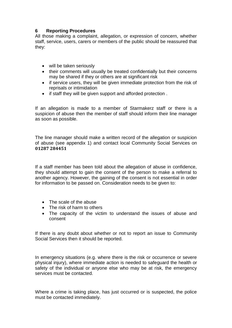## **6 Reporting Procedures**

All those making a complaint, allegation, or expression of concern, whether staff, service, users, carers or members of the public should be reassured that they:

- will be taken seriously
- their comments will usually be treated confidentially but their concerns may be shared if they or others are at significant risk
- if service users, they will be given immediate protection from the risk of reprisals or intimidation
- if staff they will be given support and afforded protection .

If an allegation is made to a member of Starmakerz staff or there is a suspicion of abuse then the member of staff should inform their line manager as soon as possible.

The line manager should make a written record of the allegation or suspicion of abuse (see appendix 1) and contact local Community Social Services on **01287 284451**

If a staff member has been told about the allegation of abuse in confidence, they should attempt to gain the consent of the person to make a referral to another agency. However, the gaining of the consent is not essential in order for information to be passed on. Consideration needs to be given to:

- The scale of the abuse
- The risk of harm to others
- The capacity of the victim to understand the issues of abuse and consent

If there is any doubt about whether or not to report an issue to Community Social Services then it should be reported.

In emergency situations (e.g. where there is the risk or occurrence or severe physical injury), where immediate action is needed to safeguard the health or safety of the individual or anyone else who may be at risk, the emergency services must be contacted.

Where a crime is taking place, has just occurred or is suspected, the police must be contacted immediately.